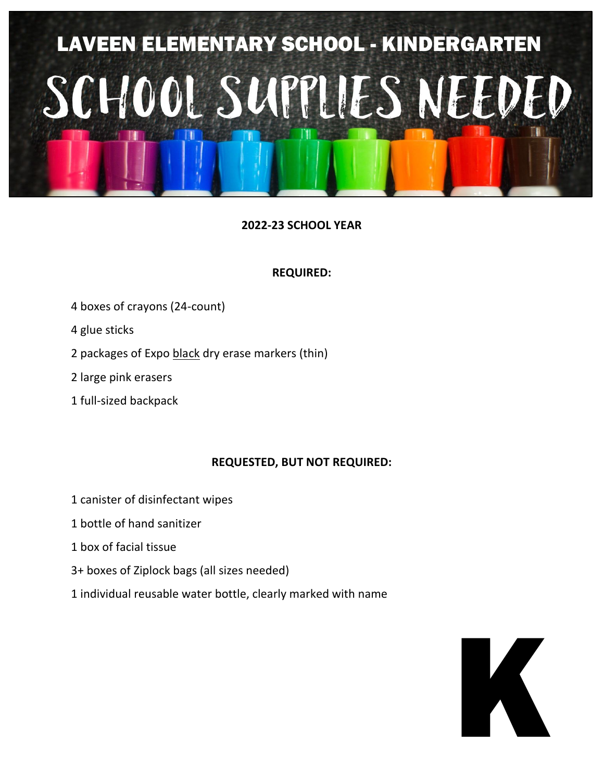

### **REQUIRED:**

- 4 boxes of crayons (24-count)
- 4 glue sticks
- 2 packages of Expo black dry erase markers (thin)
- 2 large pink erasers
- 1 full-sized backpack

- 1 canister of disinfectant wipes
- 1 bottle of hand sanitizer
- 1 box of facial tissue
- 3+ boxes of Ziplock bags (all sizes needed)
- 1 individual reusable water bottle, clearly marked with name

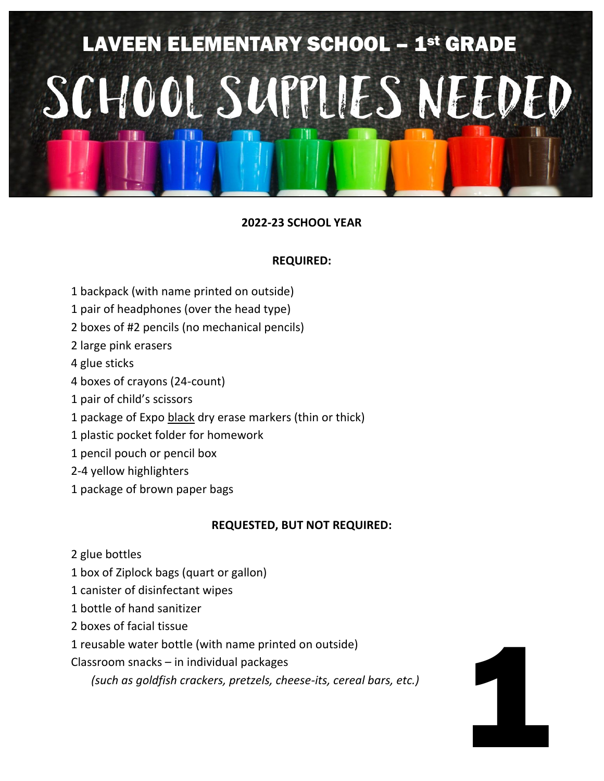

### **REQUIRED:**

- 1 backpack (with name printed on outside)
- 1 pair of headphones (over the head type)
- 2 boxes of #2 pencils (no mechanical pencils)
- 2 large pink erasers
- 4 glue sticks
- 4 boxes of crayons (24-count)
- 1 pair of child's scissors
- 1 package of Expo black dry erase markers (thin or thick)
- 1 plastic pocket folder for homework
- 1 pencil pouch or pencil box
- 2-4 yellow highlighters
- 1 package of brown paper bags

### **REQUESTED, BUT NOT REQUIRED:**

1

- 2 glue bottles
- 1 box of Ziplock bags (quart or gallon)
- 1 canister of disinfectant wipes
- 1 bottle of hand sanitizer
- 2 boxes of facial tissue
- 1 reusable water bottle (with name printed on outside)
- Classroom snacks in individual packages
	- *(such as goldfish crackers, pretzels, cheese-its, cereal bars, etc.)*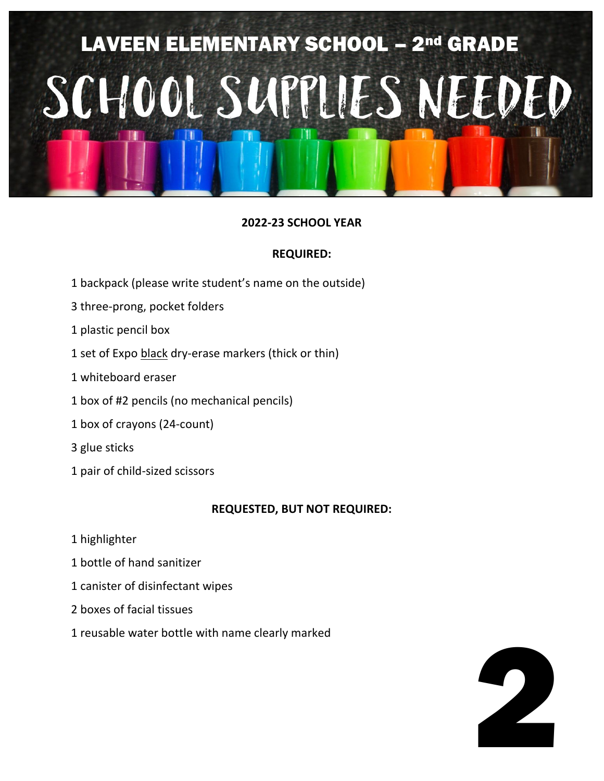

### **REQUIRED:**

- 1 backpack (please write student's name on the outside)
- 3 three-prong, pocket folders
- 1 plastic pencil box
- 1 set of Expo black dry-erase markers (thick or thin)
- 1 whiteboard eraser
- 1 box of #2 pencils (no mechanical pencils)
- 1 box of crayons (24-count)
- 3 glue sticks
- 1 pair of child-sized scissors

- 1 highlighter
- 1 bottle of hand sanitizer
- 1 canister of disinfectant wipes
- 2 boxes of facial tissues
- 1 reusable water bottle with name clearly marked

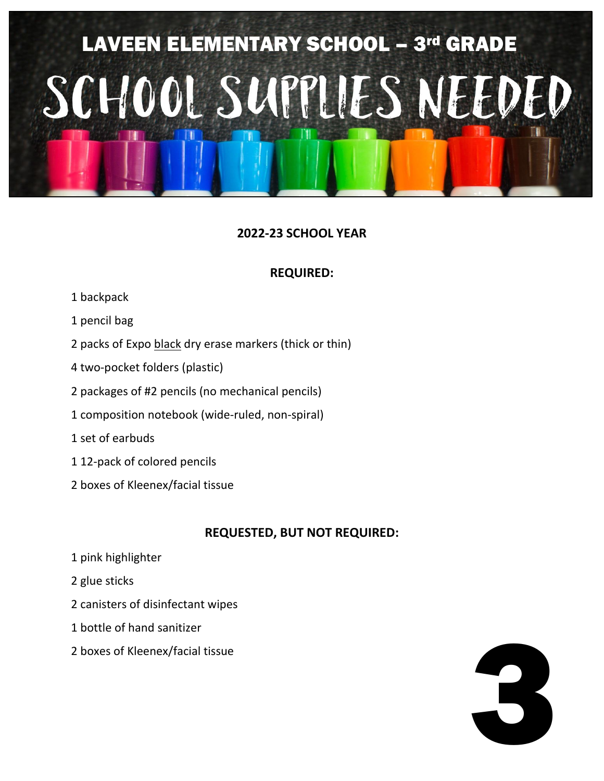## LAVEEN ELEMENTARY SCHOOL - 3rd GRADE SCHOOL SUPPLIES NEEDED

## **2022-23 SCHOOL YEAR**

## **REQUIRED:**

- 1 backpack
- 1 pencil bag
- 2 packs of Expo black dry erase markers (thick or thin)
- 4 two-pocket folders (plastic)
- 2 packages of #2 pencils (no mechanical pencils)
- 1 composition notebook (wide-ruled, non-spiral)
- 1 set of earbuds
- 1 12-pack of colored pencils
- 2 boxes of Kleenex/facial tissue

- 1 pink highlighter
- 2 glue sticks
- 2 canisters of disinfectant wipes
- 1 bottle of hand sanitizer
- 2 boxes of Kleenex/facial tissue

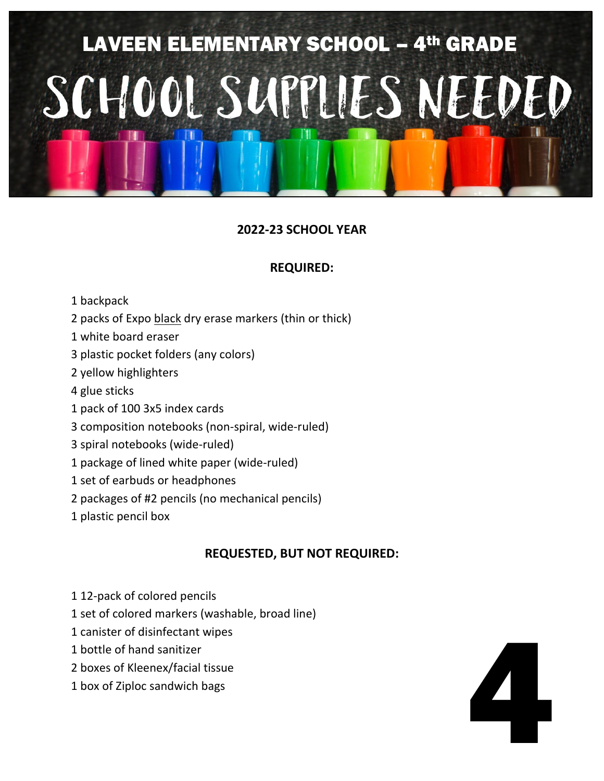

### **REQUIRED:**

- 1 backpack
- 2 packs of Expo black dry erase markers (thin or thick)
- 1 white board eraser
- 3 plastic pocket folders (any colors)
- 2 yellow highlighters
- 4 glue sticks
- 1 pack of 100 3x5 index cards
- 3 composition notebooks (non-spiral, wide-ruled)
- 3 spiral notebooks (wide-ruled)
- 1 package of lined white paper (wide-ruled)
- 1 set of earbuds or headphones
- 2 packages of #2 pencils (no mechanical pencils)
- 1 plastic pencil box

- 1 12-pack of colored pencils
- 1 set of colored markers (washable, broad line)
- 1 canister of disinfectant wipes
- 1 bottle of hand sanitizer
- 2 boxes of Kleenex/facial tissue
- 1 box of Ziploc sandwich bags

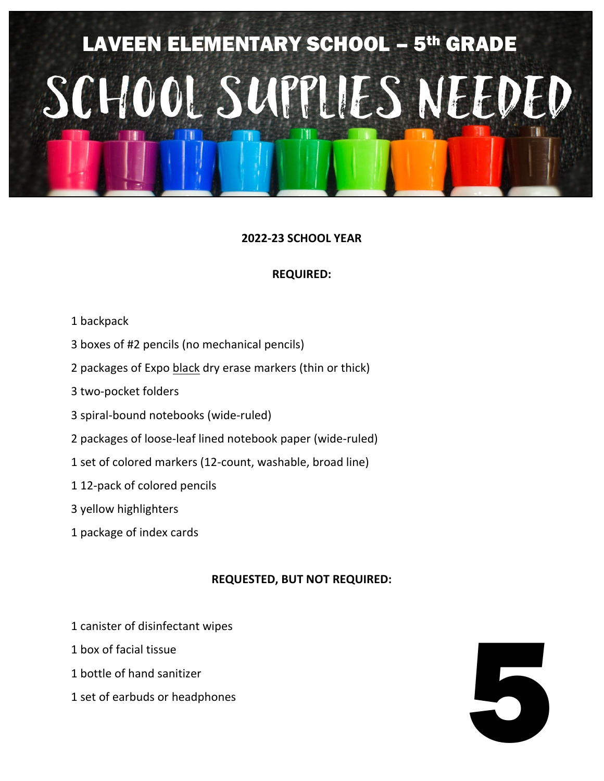# LAVEEN ELEMENTARY SCHOOL – 5th GRADE SCHOOL SUPPLIES NEEDED

### **2022-23 SCHOOL YEAR**

### **REQUIRED:**

- 1 backpack
- 3 boxes of #2 pencils (no mechanical pencils)
- 2 packages of Expo black dry erase markers (thin or thick)
- 3 two-pocket folders
- 3 spiral-bound notebooks (wide-ruled)
- 2 packages of loose-leaf lined notebook paper (wide-ruled)
- 1 set of colored markers (12-count, washable, broad line)
- 1 12-pack of colored pencils
- 3 yellow highlighters
- 1 package of index cards

- 1 canister of disinfectant wipes
- 1 box of facial tissue
- 1 bottle of hand sanitizer
- 1 set of earbuds or headphones

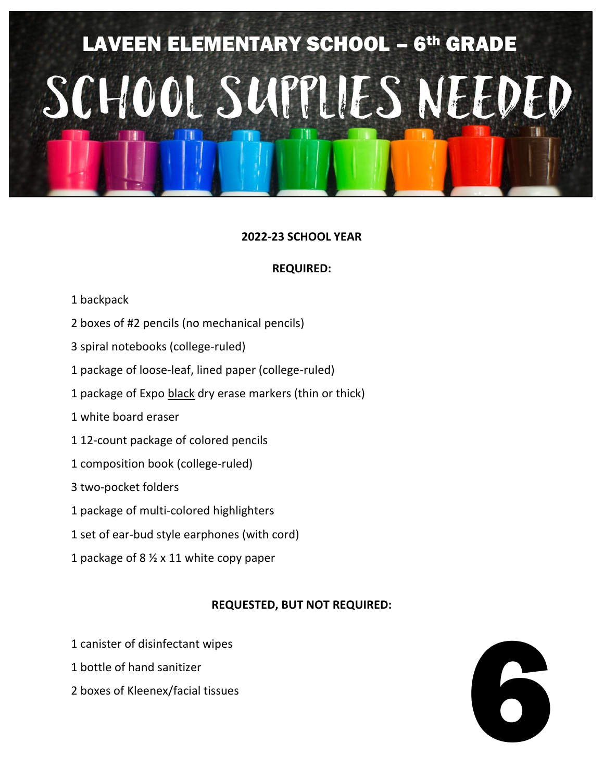# LAVEEN ELEMENTARY SCHOOL – 6th GRADE SCHOOL SUPPLIES NEEDED

### **2022-23 SCHOOL YEAR**

### **REQUIRED:**

- 1 backpack
- 2 boxes of #2 pencils (no mechanical pencils)
- 3 spiral notebooks (college-ruled)
- 1 package of loose-leaf, lined paper (college-ruled)
- 1 package of Expo black dry erase markers (thin or thick)
- 1 white board eraser
- 1 12-count package of colored pencils
- 1 composition book (college-ruled)
- 3 two-pocket folders
- 1 package of multi-colored highlighters
- 1 set of ear-bud style earphones (with cord)
- 1 package of 8 ½ x 11 white copy paper

- 1 canister of disinfectant wipes
- 1 bottle of hand sanitizer
- 2 boxes of Kleenex/facial tissues

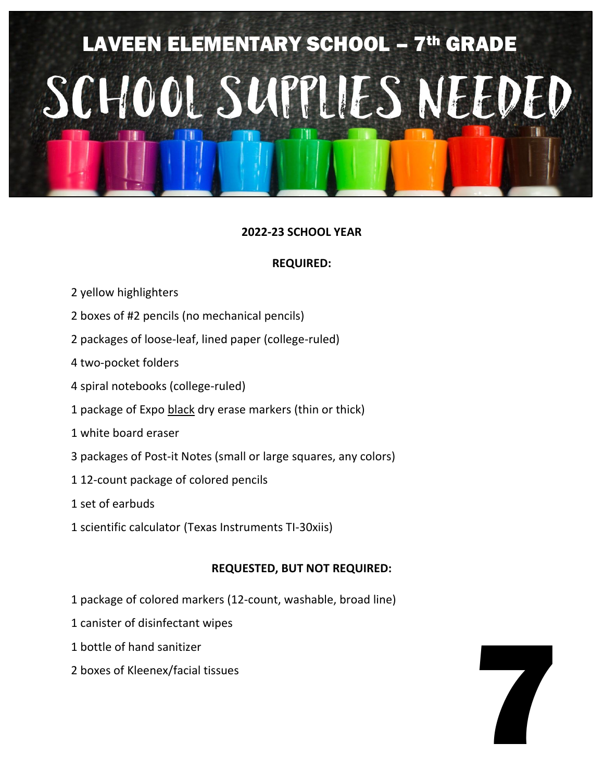# LAVEEN ELEMENTARY SCHOOL – 7th GRADE SCHOOL SUPPLIES NEEDED

### **2022-23 SCHOOL YEAR**

### **REQUIRED:**

- 2 yellow highlighters
- 2 boxes of #2 pencils (no mechanical pencils)
- 2 packages of loose-leaf, lined paper (college-ruled)
- 4 two-pocket folders
- 4 spiral notebooks (college-ruled)
- 1 package of Expo black dry erase markers (thin or thick)
- 1 white board eraser
- 3 packages of Post-it Notes (small or large squares, any colors)
- 1 12-count package of colored pencils
- 1 set of earbuds
- 1 scientific calculator (Texas Instruments TI-30xiis)

- 1 package of colored markers (12-count, washable, broad line)
- 1 canister of disinfectant wipes
- 1 bottle of hand sanitizer
- 2 boxes of Kleenex/facial tissues

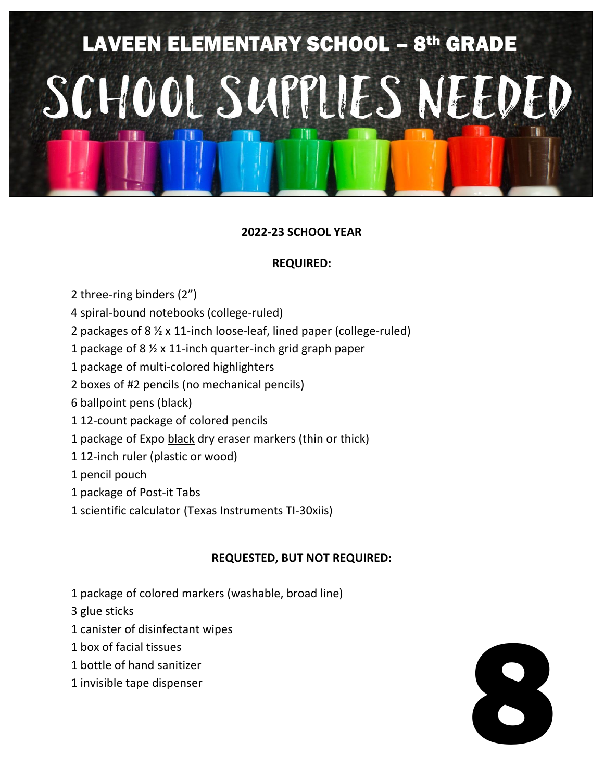# LAVEEN ELEMENTARY SCHOOL – 8th GRADE SCHOOL SUPPLIES NEEDED

### **2022-23 SCHOOL YEAR**

### **REQUIRED:**

- 2 three-ring binders (2")
- 4 spiral-bound notebooks (college-ruled)
- 2 packages of 8 ½ x 11-inch loose-leaf, lined paper (college-ruled)
- 1 package of 8 ½ x 11-inch quarter-inch grid graph paper
- 1 package of multi-colored highlighters
- 2 boxes of #2 pencils (no mechanical pencils)
- 6 ballpoint pens (black)
- 1 12-count package of colored pencils
- 1 package of Expo black dry eraser markers (thin or thick)
- 1 12-inch ruler (plastic or wood)
- 1 pencil pouch
- 1 package of Post-it Tabs
- 1 scientific calculator (Texas Instruments TI-30xiis)

- 1 package of colored markers (washable, broad line)
- 3 glue sticks
- 1 canister of disinfectant wipes
- 1 box of facial tissues
- 1 bottle of hand sanitizer
- 1 invisible tape dispenser